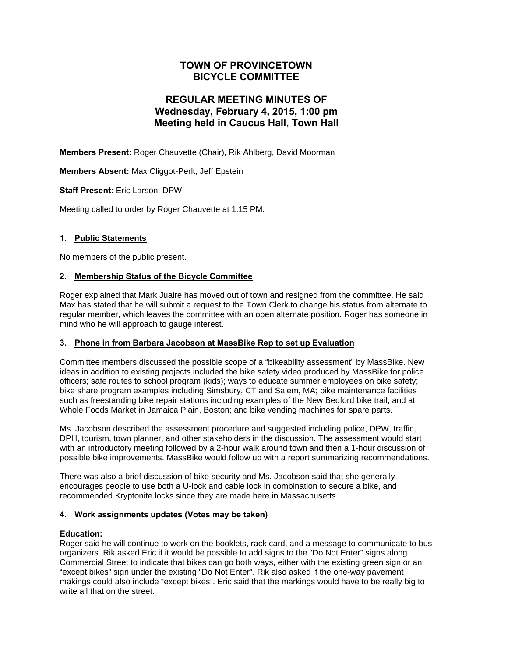# **TOWN OF PROVINCETOWN BICYCLE COMMITTEE**

# **REGULAR MEETING MINUTES OF Wednesday, February 4, 2015, 1:00 pm Meeting held in Caucus Hall, Town Hall**

**Members Present:** Roger Chauvette (Chair), Rik Ahlberg, David Moorman

**Members Absent:** Max Cliggot-Perlt, Jeff Epstein

**Staff Present:** Eric Larson, DPW

Meeting called to order by Roger Chauvette at 1:15 PM.

## **1. Public Statements**

No members of the public present.

## **2. Membership Status of the Bicycle Committee**

Roger explained that Mark Juaire has moved out of town and resigned from the committee. He said Max has stated that he will submit a request to the Town Clerk to change his status from alternate to regular member, which leaves the committee with an open alternate position. Roger has someone in mind who he will approach to gauge interest.

#### **3. Phone in from Barbara Jacobson at MassBike Rep to set up Evaluation**

Committee members discussed the possible scope of a "bikeability assessment" by MassBike. New ideas in addition to existing projects included the bike safety video produced by MassBike for police officers; safe routes to school program (kids); ways to educate summer employees on bike safety; bike share program examples including Simsbury, CT and Salem, MA; bike maintenance facilities such as freestanding bike repair stations including examples of the New Bedford bike trail, and at Whole Foods Market in Jamaica Plain, Boston; and bike vending machines for spare parts.

Ms. Jacobson described the assessment procedure and suggested including police, DPW, traffic, DPH, tourism, town planner, and other stakeholders in the discussion. The assessment would start with an introductory meeting followed by a 2-hour walk around town and then a 1-hour discussion of possible bike improvements. MassBike would follow up with a report summarizing recommendations.

There was also a brief discussion of bike security and Ms. Jacobson said that she generally encourages people to use both a U-lock and cable lock in combination to secure a bike, and recommended Kryptonite locks since they are made here in Massachusetts.

#### **4. Work assignments updates (Votes may be taken)**

#### **Education:**

Roger said he will continue to work on the booklets, rack card, and a message to communicate to bus organizers. Rik asked Eric if it would be possible to add signs to the "Do Not Enter" signs along Commercial Street to indicate that bikes can go both ways, either with the existing green sign or an "except bikes" sign under the existing "Do Not Enter". Rik also asked if the one-way pavement makings could also include "except bikes". Eric said that the markings would have to be really big to write all that on the street.